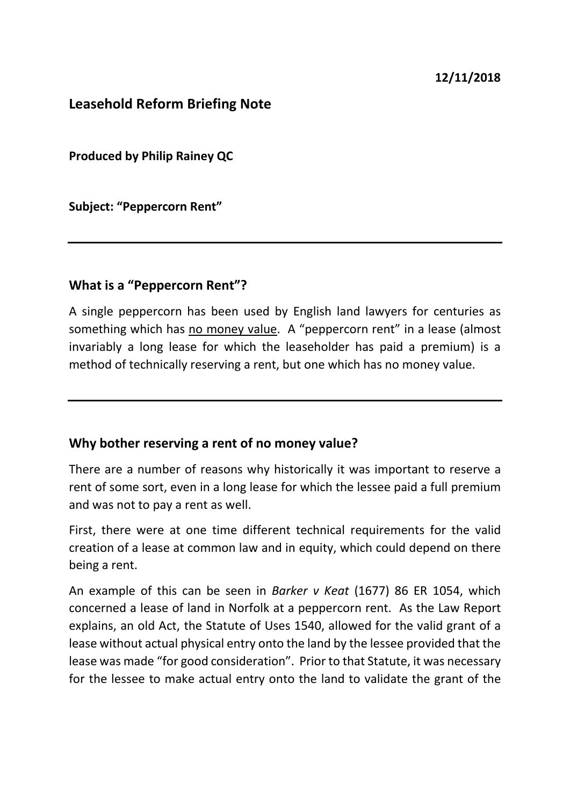#### **Leasehold Reform Briefing Note**

**Produced by Philip Rainey QC**

**Subject: "Peppercorn Rent"**

#### **What is a "Peppercorn Rent"?**

A single peppercorn has been used by English land lawyers for centuries as something which has no money value. A "peppercorn rent" in a lease (almost invariably a long lease for which the leaseholder has paid a premium) is a method of technically reserving a rent, but one which has no money value.

#### **Why bother reserving a rent of no money value?**

There are a number of reasons why historically it was important to reserve a rent of some sort, even in a long lease for which the lessee paid a full premium and was not to pay a rent as well.

First, there were at one time different technical requirements for the valid creation of a lease at common law and in equity, which could depend on there being a rent.

An example of this can be seen in *Barker v Keat* (1677) 86 ER 1054, which concerned a lease of land in Norfolk at a peppercorn rent. As the Law Report explains, an old Act, the Statute of Uses 1540, allowed for the valid grant of a lease without actual physical entry onto the land by the lessee provided that the lease was made "for good consideration". Prior to that Statute, it was necessary for the lessee to make actual entry onto the land to validate the grant of the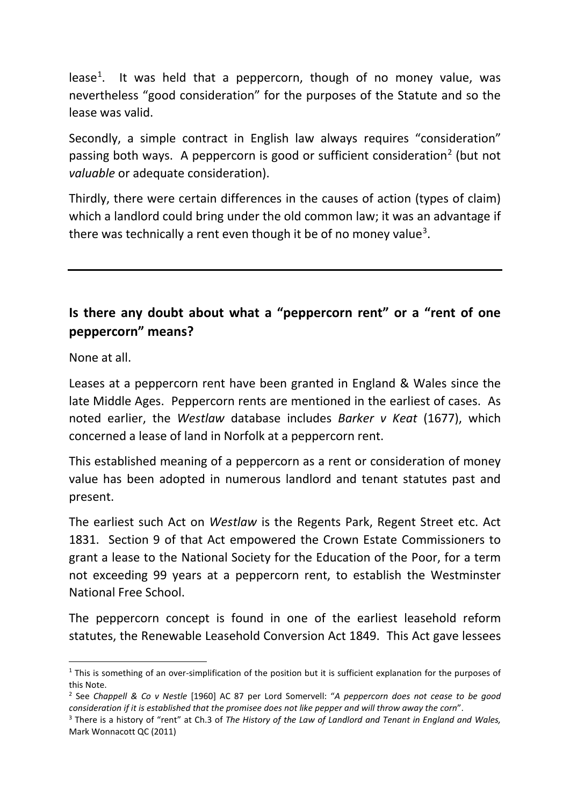lease<sup>[1](#page-1-0)</sup>. It was held that a peppercorn, though of no money value, was nevertheless "good consideration" for the purposes of the Statute and so the lease was valid.

Secondly, a simple contract in English law always requires "consideration" passing both ways. A peppercorn is good or sufficient consideration<sup>[2](#page-1-1)</sup> (but not *valuable* or adequate consideration).

Thirdly, there were certain differences in the causes of action (types of claim) which a landlord could bring under the old common law; it was an advantage if there was technically a rent even though it be of no money value<sup>[3](#page-1-2)</sup>.

# **Is there any doubt about what a "peppercorn rent" or a "rent of one peppercorn" means?**

None at all.

Leases at a peppercorn rent have been granted in England & Wales since the late Middle Ages. Peppercorn rents are mentioned in the earliest of cases. As noted earlier, the *Westlaw* database includes *Barker v Keat* (1677), which concerned a lease of land in Norfolk at a peppercorn rent.

This established meaning of a peppercorn as a rent or consideration of money value has been adopted in numerous landlord and tenant statutes past and present.

The earliest such Act on *Westlaw* is the Regents Park, Regent Street etc. Act 1831. Section 9 of that Act empowered the Crown Estate Commissioners to grant a lease to the National Society for the Education of the Poor, for a term not exceeding 99 years at a peppercorn rent, to establish the Westminster National Free School.

The peppercorn concept is found in one of the earliest leasehold reform statutes, the Renewable Leasehold Conversion Act 1849. This Act gave lessees

<span id="page-1-0"></span> $1$  This is something of an over-simplification of the position but it is sufficient explanation for the purposes of this Note.

<span id="page-1-1"></span><sup>2</sup> See *Chappell & Co v Nestle* [1960] AC 87 per Lord Somervell: "*A peppercorn does not cease to be good consideration if it is established that the promisee does not like pepper and will throw away the corn*".

<span id="page-1-2"></span><sup>3</sup> There is a history of "rent" at Ch.3 of *The History of the Law of Landlord and Tenant in England and Wales,*  Mark Wonnacott QC (2011)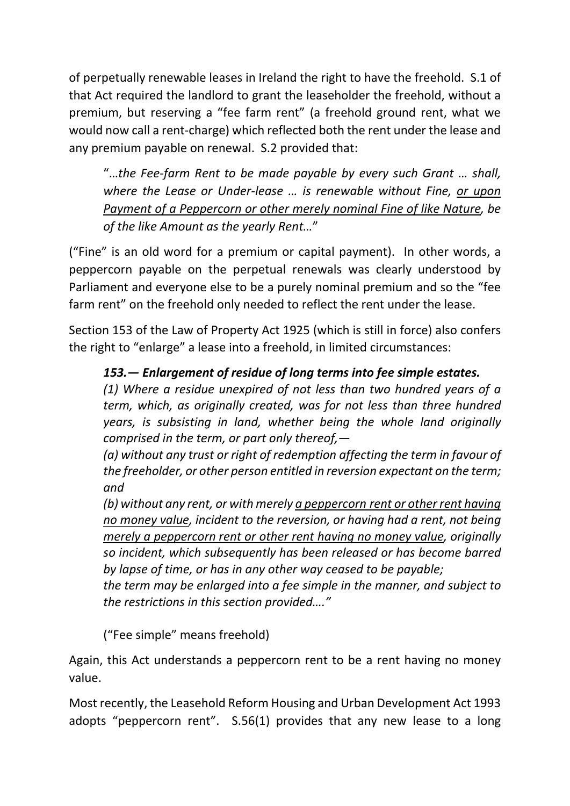of perpetually renewable leases in Ireland the right to have the freehold. S.1 of that Act required the landlord to grant the leaseholder the freehold, without a premium, but reserving a "fee farm rent" (a freehold ground rent, what we would now call a rent-charge) which reflected both the rent under the lease and any premium payable on renewal. S.2 provided that:

"…*the Fee-farm Rent to be made payable by every such Grant … shall, where the Lease or Under-lease … is renewable without Fine, or upon Payment of a Peppercorn or other merely nominal Fine of like Nature, be of the like Amount as the yearly Rent…*"

("Fine" is an old word for a premium or capital payment). In other words, a peppercorn payable on the perpetual renewals was clearly understood by Parliament and everyone else to be a purely nominal premium and so the "fee farm rent" on the freehold only needed to reflect the rent under the lease.

Section 153 of the Law of Property Act 1925 (which is still in force) also confers the right to "enlarge" a lease into a freehold, in limited circumstances:

### *153.— Enlargement of residue of long terms into fee simple estates.*

*(1) Where a residue unexpired of not less than two hundred years of a term, which, as originally created, was for not less than three hundred years, is subsisting in land, whether being the whole land originally comprised in the term, or part only thereof,—*

*(a) without any trust or right of redemption affecting the term in favour of the freeholder, or other person entitled in reversion expectant on the term; and*

*(b) without any rent, or with merely a peppercorn rent or other rent having no money value, incident to the reversion, or having had a rent, not being merely a peppercorn rent or other rent having no money value, originally so incident, which subsequently has been released or has become barred by lapse of time, or has in any other way ceased to be payable;*

*the term may be enlarged into a fee simple in the manner, and subject to the restrictions in this section provided…."*

("Fee simple" means freehold)

Again, this Act understands a peppercorn rent to be a rent having no money value.

Most recently, the Leasehold Reform Housing and Urban Development Act 1993 adopts "peppercorn rent". S.56(1) provides that any new lease to a long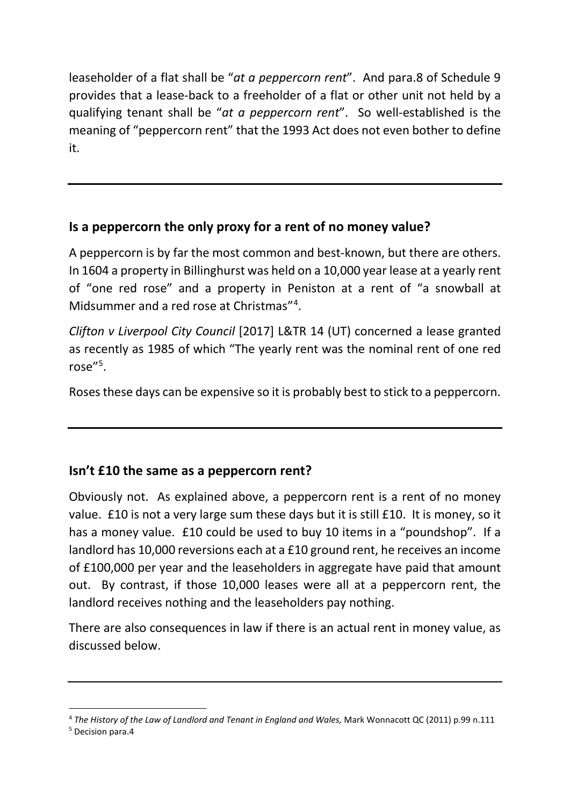leaseholder of a flat shall be "*at a peppercorn rent*". And para.8 of Schedule 9 provides that a lease-back to a freeholder of a flat or other unit not held by a qualifying tenant shall be "*at a peppercorn rent*". So well-established is the meaning of "peppercorn rent" that the 1993 Act does not even bother to define it.

## **Is a peppercorn the only proxy for a rent of no money value?**

A peppercorn is by far the most common and best-known, but there are others. In 1604 a property in Billinghurst was held on a 10,000 year lease at a yearly rent of "one red rose" and a property in Peniston at a rent of "a snowball at Midsummer and a red rose at Christmas"[4](#page-3-0) .

*Clifton v Liverpool City Council* [2017] L&TR 14 (UT) concerned a lease granted as recently as 1985 of which "The yearly rent was the nominal rent of one red rose"[5](#page-3-1) .

Roses these days can be expensive so it is probably best to stick to a peppercorn.

## **Isn't £10 the same as a peppercorn rent?**

Obviously not. As explained above, a peppercorn rent is a rent of no money value. £10 is not a very large sum these days but it is still £10. It is money, so it has a money value. £10 could be used to buy 10 items in a "poundshop". If a landlord has 10,000 reversions each at a £10 ground rent, he receives an income of £100,000 per year and the leaseholders in aggregate have paid that amount out. By contrast, if those 10,000 leases were all at a peppercorn rent, the landlord receives nothing and the leaseholders pay nothing.

There are also consequences in law if there is an actual rent in money value, as discussed below.

<span id="page-3-0"></span> <sup>4</sup> *The History of the Law of Landlord and Tenant in England and Wales,* Mark Wonnacott QC (2011) p.99 n.111

<span id="page-3-1"></span><sup>5</sup> Decision para.4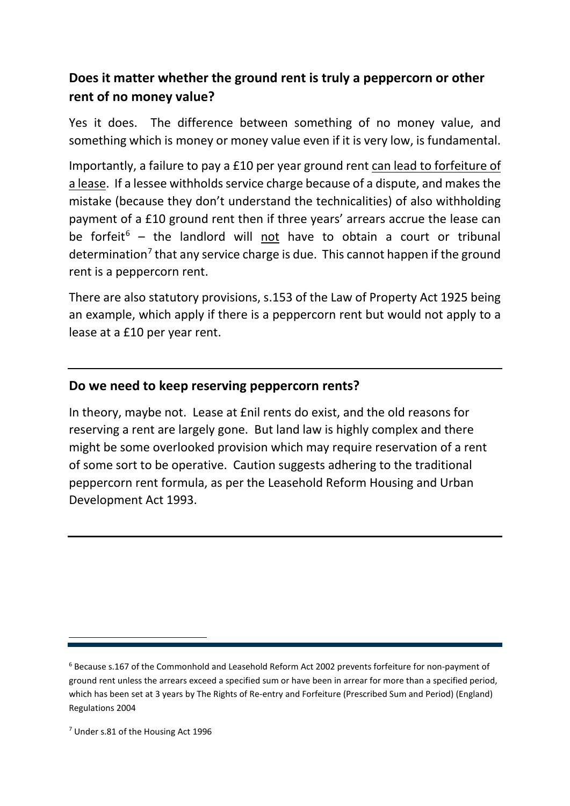## **Does it matter whether the ground rent is truly a peppercorn or other rent of no money value?**

Yes it does. The difference between something of no money value, and something which is money or money value even if it is very low, is fundamental.

Importantly, a failure to pay a £10 per year ground rent can lead to forfeiture of a lease. If a lessee withholds service charge because of a dispute, and makes the mistake (because they don't understand the technicalities) of also withholding payment of a £10 ground rent then if three years' arrears accrue the lease can be forfeit<sup>[6](#page-4-0)</sup> – the landlord will not have to obtain a court or tribunal determination<sup>7</sup> that any service charge is due. This cannot happen if the ground rent is a peppercorn rent.

There are also statutory provisions, s.153 of the Law of Property Act 1925 being an example, which apply if there is a peppercorn rent but would not apply to a lease at a £10 per year rent.

### **Do we need to keep reserving peppercorn rents?**

In theory, maybe not. Lease at £nil rents do exist, and the old reasons for reserving a rent are largely gone. But land law is highly complex and there might be some overlooked provision which may require reservation of a rent of some sort to be operative. Caution suggests adhering to the traditional peppercorn rent formula, as per the Leasehold Reform Housing and Urban Development Act 1993.

<span id="page-4-1"></span><sup>7</sup> Under s.81 of the Housing Act 1996

 $\overline{a}$ 

<span id="page-4-0"></span><sup>6</sup> Because s.167 of the Commonhold and Leasehold Reform Act 2002 prevents forfeiture for non-payment of ground rent unless the arrears exceed a specified sum or have been in arrear for more than a specified period, which has been set at 3 years by The Rights of Re-entry and Forfeiture (Prescribed Sum and Period) (England) Regulations 2004